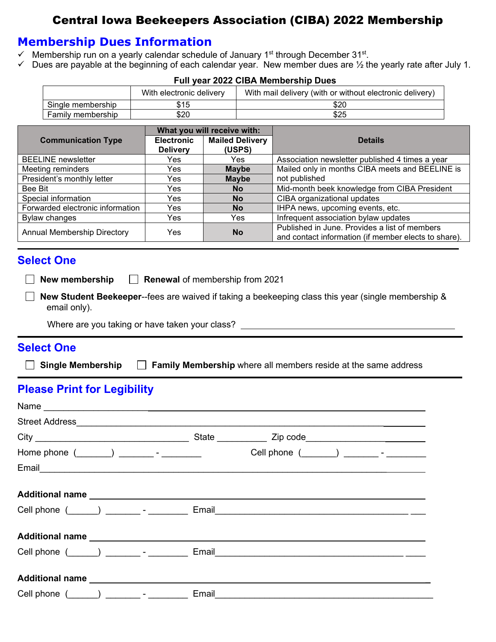# Central Iowa Beekeepers Association (CIBA) 2022 Membership

### **Membership Dues Information**

- $\checkmark$  Membership run on a yearly calendar schedule of January 1<sup>st</sup> through December 31<sup>st</sup>.
- $\checkmark$  Dues are payable at the beginning of each calendar year. New member dues are  $\frac{1}{2}$  the yearly rate after July 1.

|                                              | With electronic delivery |                             | With mail delivery (with or without electronic delivery) |  |
|----------------------------------------------|--------------------------|-----------------------------|----------------------------------------------------------|--|
| Single membership                            | \$15                     |                             | \$20                                                     |  |
| Family membership                            | \$20                     |                             | \$25                                                     |  |
|                                              |                          | What you will receive with: |                                                          |  |
| <b>Communication Type</b>                    | <b>Electronic</b>        | <b>Mailed Delivery</b>      | <b>Details</b>                                           |  |
|                                              | <b>Delivery</b>          | (USPS)                      |                                                          |  |
| <b>BEELINE</b> newsletter                    | Yes.                     | Yes.                        | Association newsletter published 4 times a year          |  |
| Meeting reminders                            | Yes.                     | <b>Maybe</b>                | Mailed only in months CIBA meets and BEELINE is          |  |
| President's monthly letter                   | Yes.                     | <b>Maybe</b>                | not published                                            |  |
| Bee Bit                                      | Yes.                     | <b>No</b>                   | Mid-month beek knowledge from CIBA President             |  |
| $\Omega$ and a start that the mass of the mo | $\mathcal{L}$            | $\mathbf{N}$                | $QIDA = max = -1128$                                     |  |

#### **Full year 2022 CIBA Membership Dues**

| President's monthly letter       | Yes  | <b>Maybe</b> | not published                                                                                         |
|----------------------------------|------|--------------|-------------------------------------------------------------------------------------------------------|
| Bee Bit                          | Yes. | <b>No</b>    | Mid-month beek knowledge from CIBA President                                                          |
| Special information              | Yes. | <b>No</b>    | CIBA organizational updates                                                                           |
| Forwarded electronic information | Yes  | <b>No</b>    | IHPA news, upcoming events, etc.                                                                      |
| Bylaw changes                    | Yes  | Yes          | Infrequent association bylaw updates                                                                  |
| Annual Membership Directory      | Yes  | <b>No</b>    | Published in June. Provides a list of members<br>and contact information (if member elects to share). |
| <b>Select One</b>                |      |              |                                                                                                       |

## **Select One**

**New membership Renewal** of membership from 2021

 **New Student Beekeeper**--fees are waived if taking a beekeeping class this year (single membership & email only).

Where are you taking or have taken your class?

#### **Select One**

**Single Membership Family Membership** where all members reside at the same address

# **Please Print for Legibility**

| Home phone $(\_\_)$ ____________ - __________                                                                  |       |                                                                                   |
|----------------------------------------------------------------------------------------------------------------|-------|-----------------------------------------------------------------------------------|
|                                                                                                                |       |                                                                                   |
|                                                                                                                |       |                                                                                   |
|                                                                                                                |       | Cell phone (_____) _________- _ _________ Email__________________________________ |
| Additional name expansion of the state of the state of the state of the state of the state of the state of the |       |                                                                                   |
|                                                                                                                |       |                                                                                   |
| <b>Additional name</b>                                                                                         |       |                                                                                   |
| Cell phone $($ $)$ $)$ $   -$                                                                                  | Email |                                                                                   |